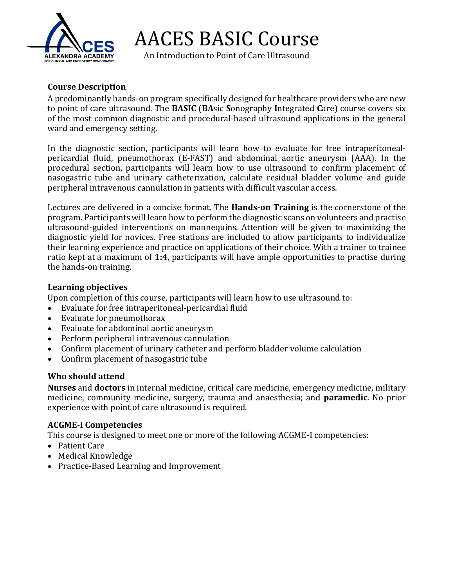

AACES BASIC Course

An Introduction to Point of Care Ultrasound

## **Course Description**

A predominantly hands-on program specifically designed for healthcare providers who are new to point of care ultrasound. The **BASIC** (**BA**sic **S**onography **I**ntegrated **C**are) course covers six of the most common diagnostic and procedural-based ultrasound applications in the general ward and emergency setting.

In the diagnostic section, participants will learn how to evaluate for free intraperitonealpericardial fluid, pneumothorax (E-FAST) and abdominal aortic aneurysm (AAA). In the procedural section, participants will learn how to use ultrasound to confirm placement of nasogastric tube and urinary catheterization, calculate residual bladder volume and guide peripheral intravenous cannulation in patients with difficult vascular access.

Lectures are delivered in a concise format. The **Hands-on Training** is the cornerstone of the program. Participants will learn how to perform the diagnostic scans on volunteers and practise ultrasound-guided interventions on mannequins. Attention will be given to maximizing the diagnostic yield for novices. Free stations are included to allow participants to individualize their learning experience and practice on applications of their choice. With a trainer to trainee ratio kept at a maximum of **1:4**, participants will have ample opportunities to practise during the hands-on training.

### **Learning objectives**

Upon completion of this course, participants will learn how to use ultrasound to:

- Evaluate for free intraperitoneal-pericardial fluid
- Evaluate for pneumothorax
- Evaluate for abdominal aortic aneurysm
- Perform peripheral intravenous cannulation
- Confirm placement of urinary catheter and perform bladder volume calculation
- Confirm placement of nasogastric tube

## **Who should attend**

**Nurses** and **doctors** in internal medicine, critical care medicine, emergency medicine, military medicine, community medicine, surgery, trauma and anaesthesia; and **paramedic**. No prior experience with point of care ultrasound is required.

## **ACGME-I Competencies**

This course is designed to meet one or more of the following ACGME-I competencies:

- Patient Care
- Medical Knowledge
- Practice-Based Learning and Improvement